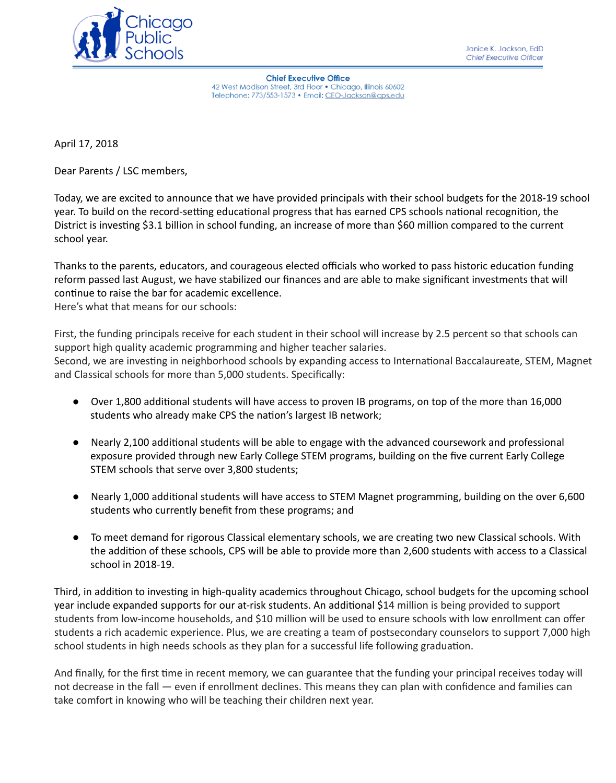

**Chief Executive Office** 42 West Madison Street, 3rd Floor . Chicago, Illinois 60602 Telephone: 773/553-1573 · Email: CEO-Jackson@cps.edu

April 17, 2018

Dear Parents / LSC members,

Today, we are excited to announce that we have provided principals with their school budgets for the 2018-19 school year. To build on the record-setting educational progress that has earned CPS schools national recognition, the District is investing \$3.1 billion in school funding, an increase of more than \$60 million compared to the current school year.

Thanks to the parents, educators, and courageous elected officials who worked to pass historic education funding reform passed last August, we have stabilized our finances and are able to make significant investments that will continue to raise the bar for academic excellence. Here's what that means for our schools:

First, the funding principals receive for each student in their school will increase by 2.5 percent so that schools can support high quality academic programming and higher teacher salaries. Second, we are investing in neighborhood schools by expanding access to International Baccalaureate, STEM, Magnet and Classical schools for more than 5,000 students. Specifically:

- Over 1,800 additional students will have access to proven IB programs, on top of the more than 16,000 students who already make CPS the nation's largest IB network;
- Nearly 2,100 additional students will be able to engage with the advanced coursework and professional exposure provided through new Early College STEM programs, building on the five current Early College STEM schools that serve over 3,800 students;
- Nearly 1,000 additional students will have access to STEM Magnet programming, building on the over 6,600 students who currently benefit from these programs; and
- To meet demand for rigorous Classical elementary schools, we are creating two new Classical schools. With the addition of these schools, CPS will be able to provide more than 2,600 students with access to a Classical school in 2018-19.

Third, in addition to investing in high-quality academics throughout Chicago, school budgets for the upcoming school year include expanded supports for our at-risk students. An additional \$14 million is being provided to support students from low-income households, and \$10 million will be used to ensure schools with low enrollment can offer students a rich academic experience. Plus, we are creating a team of postsecondary counselors to support 7,000 high school students in high needs schools as they plan for a successful life following graduation.

And finally, for the first time in recent memory, we can guarantee that the funding your principal receives today will not decrease in the fall — even if enrollment declines. This means they can plan with confidence and families can take comfort in knowing who will be teaching their children next year.